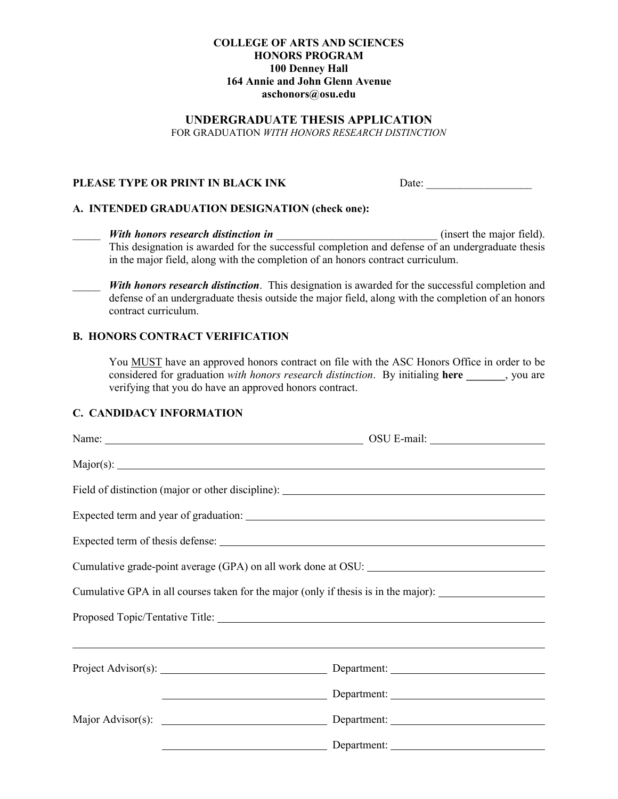### **COLLEGE OF ARTS AND SCIENCES HONORS PROGRAM 100 Denney Hall 164 Annie and John Glenn Avenue aschonors@osu.edu**

### **UNDERGRADUATE THESIS APPLICATION**

FOR GRADUATION *WITH HONORS RESEARCH DISTINCTION*

### **PLEASE TYPE OR PRINT IN BLACK INK** Date: \_\_\_\_\_\_\_\_\_\_\_\_\_\_\_\_\_\_\_

#### **A. INTENDED GRADUATION DESIGNATION (check one):**

*With honors research distinction in \_\_\_\_\_\_\_\_\_\_\_\_\_\_\_\_\_\_\_\_\_\_\_\_\_\_\_\_\_\_\_\_\_\_\_* (insert the major field). This designation is awarded for the successful completion and defense of an undergraduate thesis in the major field, along with the completion of an honors contract curriculum.

With honors research distinction. This designation is awarded for the successful completion and defense of an undergraduate thesis outside the major field, along with the completion of an honors contract curriculum.

### **B. HONORS CONTRACT VERIFICATION**

You MUST have an approved honors contract on file with the ASC Honors Office in order to be considered for graduation *with honors research distinction*. By initialing **here \_\_\_\_\_\_\_**, you are verifying that you do have an approved honors contract.

#### **C. CANDIDACY INFORMATION**

| Field of distinction (major or other discipline): _______________________________                   |  |
|-----------------------------------------------------------------------------------------------------|--|
|                                                                                                     |  |
|                                                                                                     |  |
|                                                                                                     |  |
| Cumulative GPA in all courses taken for the major (only if thesis is in the major): _______________ |  |
|                                                                                                     |  |
|                                                                                                     |  |
| Project Advisor(s): Department: Department:                                                         |  |
|                                                                                                     |  |
|                                                                                                     |  |
|                                                                                                     |  |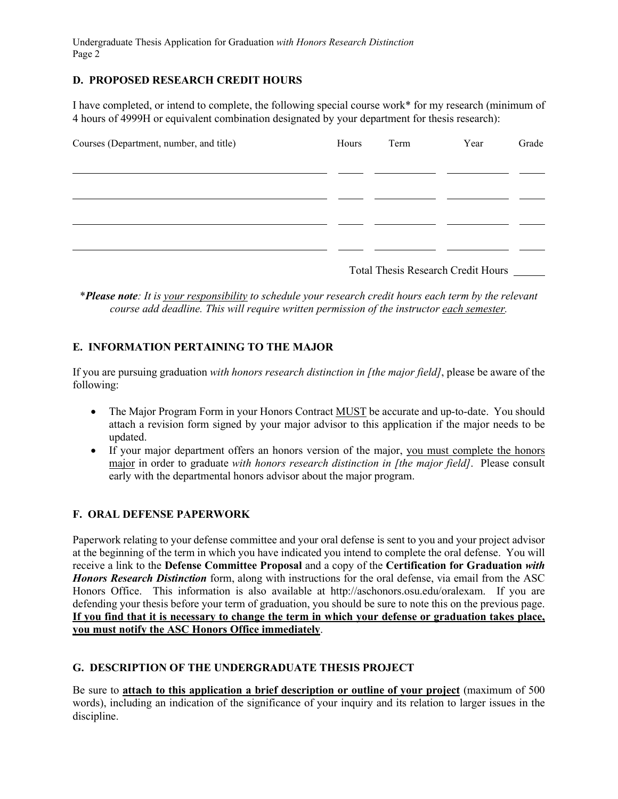Undergraduate Thesis Application for Graduation *with Honors Research Distinction* Page 2

## **D. PROPOSED RESEARCH CREDIT HOURS**

I have completed, or intend to complete, the following special course work\* for my research (minimum of 4 hours of 4999H or equivalent combination designated by your department for thesis research):

| Courses (Department, number, and title) | Hours | Term | Year                                      | Grade |
|-----------------------------------------|-------|------|-------------------------------------------|-------|
|                                         |       |      |                                           |       |
|                                         |       |      |                                           |       |
|                                         |       |      |                                           |       |
|                                         |       |      |                                           |       |
|                                         |       |      | <b>Total Thesis Research Credit Hours</b> |       |

\**Please note: It is your responsibility to schedule your research credit hours each term by the relevant course add deadline. This will require written permission of the instructor each semester.*

# **E. INFORMATION PERTAINING TO THE MAJOR**

If you are pursuing graduation *with honors research distinction in [the major field]*, please be aware of the following:

- The Major Program Form in your Honors Contract MUST be accurate and up-to-date. You should attach a revision form signed by your major advisor to this application if the major needs to be updated.
- If your major department offers an honors version of the major, you must complete the honors major in order to graduate *with honors research distinction in [the major field]*. Please consult early with the departmental honors advisor about the major program.

### **F. ORAL DEFENSE PAPERWORK**

Paperwork relating to your defense committee and your oral defense is sent to you and your project advisor at the beginning of the term in which you have indicated you intend to complete the oral defense. You will receive a link to the **Defense Committee Proposal** and a copy of the **Certification for Graduation** *with Honors Research Distinction* form, along with instructions for the oral defense, via email from the ASC Honors Office. This information is also available at http://aschonors.osu.edu/oralexam. If you are defending your thesis before your term of graduation, you should be sure to note this on the previous page. **If you find that it is necessary to change the term in which your defense or graduation takes place, you must notify the ASC Honors Office immediately**.

### **G. DESCRIPTION OF THE UNDERGRADUATE THESIS PROJECT**

Be sure to **attach to this application a brief description or outline of your project** (maximum of 500 words), including an indication of the significance of your inquiry and its relation to larger issues in the discipline.